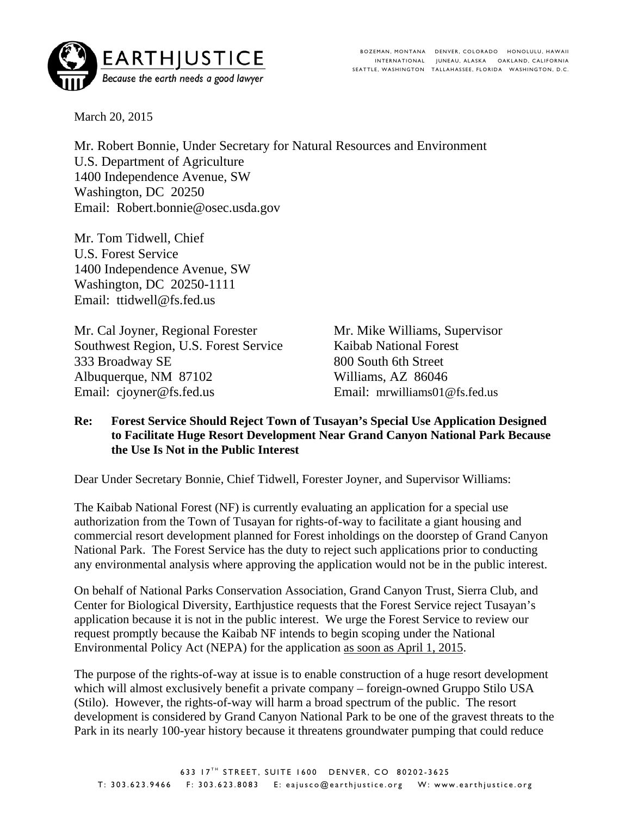

March 20, 2015

Mr. Robert Bonnie, Under Secretary for Natural Resources and Environment U.S. Department of Agriculture 1400 Independence Avenue, SW Washington, DC 20250 Email: Robert.bonnie@osec.usda.gov

Mr. Tom Tidwell, Chief U.S. Forest Service 1400 Independence Avenue, SW Washington, DC 20250-1111 Email: ttidwell@fs.fed.us

Mr. Cal Joyner, Regional Forester Mr. Mike Williams, Supervisor Southwest Region, U.S. Forest Service Kaibab National Forest 333 Broadway SE 800 South 6th Street Albuquerque, NM 87102 Williams, AZ 86046 Email: cjoyner@fs.fed.us Email: mrwilliams01@fs.fed.us

### **Re: Forest Service Should Reject Town of Tusayan's Special Use Application Designed to Facilitate Huge Resort Development Near Grand Canyon National Park Because the Use Is Not in the Public Interest**

Dear Under Secretary Bonnie, Chief Tidwell, Forester Joyner, and Supervisor Williams:

The Kaibab National Forest (NF) is currently evaluating an application for a special use authorization from the Town of Tusayan for rights-of-way to facilitate a giant housing and commercial resort development planned for Forest inholdings on the doorstep of Grand Canyon National Park. The Forest Service has the duty to reject such applications prior to conducting any environmental analysis where approving the application would not be in the public interest.

On behalf of National Parks Conservation Association, Grand Canyon Trust, Sierra Club, and Center for Biological Diversity, Earthjustice requests that the Forest Service reject Tusayan's application because it is not in the public interest. We urge the Forest Service to review our request promptly because the Kaibab NF intends to begin scoping under the National Environmental Policy Act (NEPA) for the application as soon as April 1, 2015.

The purpose of the rights-of-way at issue is to enable construction of a huge resort development which will almost exclusively benefit a private company – foreign-owned Gruppo Stilo USA (Stilo). However, the rights-of-way will harm a broad spectrum of the public. The resort development is considered by Grand Canyon National Park to be one of the gravest threats to the Park in its nearly 100-year history because it threatens groundwater pumping that could reduce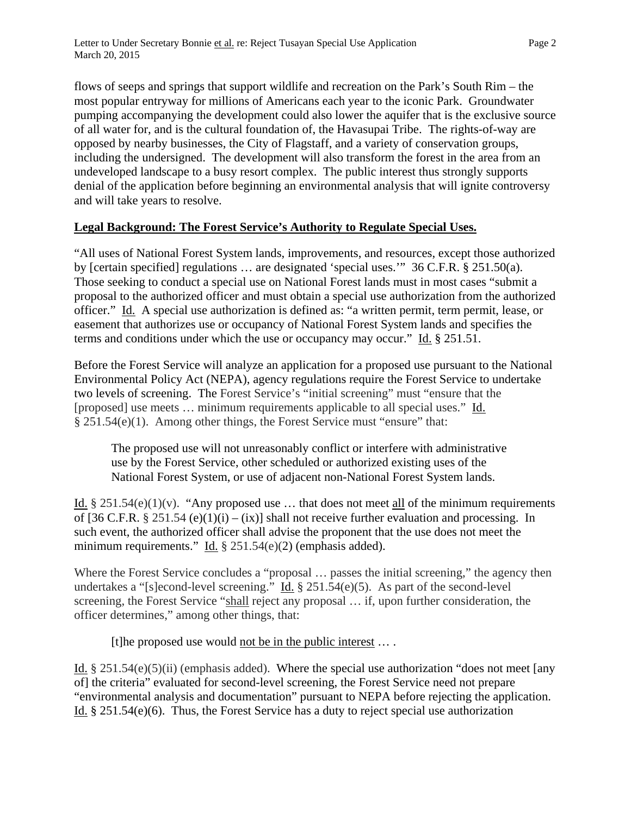most popular entryway for millions of Americans each year to the iconic Park. Groundwater pumping accompanying the development could also lower the aquifer that is the exclusive source of all water for, and is the cultural foundation of, the Havasupai Tribe. The rights-of-way are opposed by nearby businesses, the City of Flagstaff, and a variety of conservation groups, including the undersigned. The development will also transform the forest in the area from an undeveloped landscape to a busy resort complex. The public interest thus strongly supports denial of the application before beginning an environmental analysis that will ignite controversy and will take years to resolve.

# **Legal Background: The Forest Service's Authority to Regulate Special Uses.**

"All uses of National Forest System lands, improvements, and resources, except those authorized by [certain specified] regulations … are designated 'special uses.'" 36 C.F.R. § 251.50(a). Those seeking to conduct a special use on National Forest lands must in most cases "submit a proposal to the authorized officer and must obtain a special use authorization from the authorized officer." Id. A special use authorization is defined as: "a written permit, term permit, lease, or easement that authorizes use or occupancy of National Forest System lands and specifies the terms and conditions under which the use or occupancy may occur." Id. § 251.51.

Before the Forest Service will analyze an application for a proposed use pursuant to the National Environmental Policy Act (NEPA), agency regulations require the Forest Service to undertake two levels of screening. The Forest Service's "initial screening" must "ensure that the [proposed] use meets … minimum requirements applicable to all special uses." Id. § 251.54(e)(1). Among other things, the Forest Service must "ensure" that:

The proposed use will not unreasonably conflict or interfere with administrative use by the Forest Service, other scheduled or authorized existing uses of the National Forest System, or use of adjacent non-National Forest System lands.

<u>Id.</u> § 251.54(e)(1)(v). "Any proposed use ... that does not meet <u>all</u> of the minimum requirements of [36 C.F.R. § 251.54 (e)(1)(i) – (ix)] shall not receive further evaluation and processing. In such event, the authorized officer shall advise the proponent that the use does not meet the minimum requirements." Id. § 251.54(e)(2) (emphasis added).

Where the Forest Service concludes a "proposal ... passes the initial screening," the agency then undertakes a "[s]econd-level screening." Id.  $\S 251.54(e)(5)$ . As part of the second-level screening, the Forest Service "shall reject any proposal … if, upon further consideration, the officer determines," among other things, that:

[t]he proposed use would not be in the public interest … .

Id.  $\S 251.54(e)(5)(ii)$  (emphasis added). Where the special use authorization "does not meet [any of] the criteria" evaluated for second-level screening, the Forest Service need not prepare "environmental analysis and documentation" pursuant to NEPA before rejecting the application. Id. § 251.54(e)(6). Thus, the Forest Service has a duty to reject special use authorization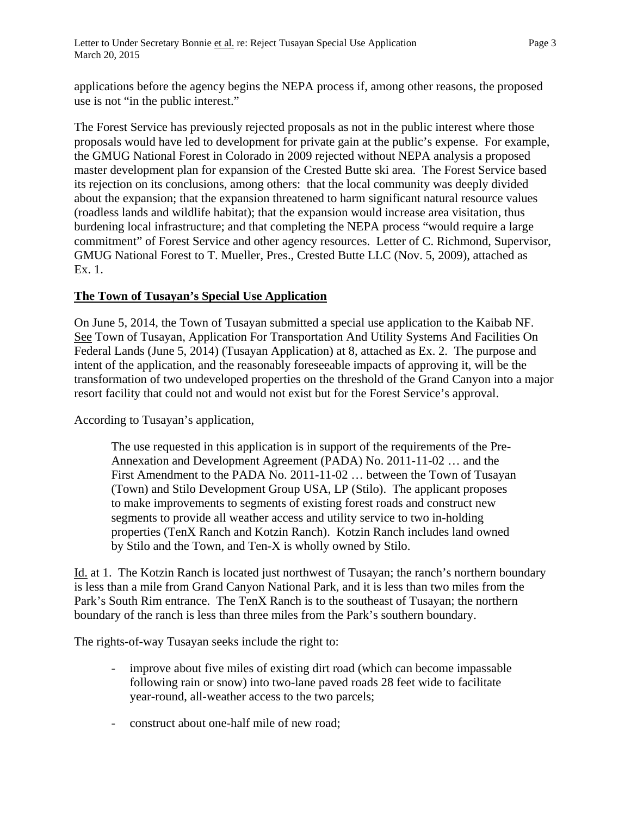The Forest Service has previously rejected proposals as not in the public interest where those proposals would have led to development for private gain at the public's expense. For example, the GMUG National Forest in Colorado in 2009 rejected without NEPA analysis a proposed master development plan for expansion of the Crested Butte ski area. The Forest Service based its rejection on its conclusions, among others: that the local community was deeply divided about the expansion; that the expansion threatened to harm significant natural resource values (roadless lands and wildlife habitat); that the expansion would increase area visitation, thus burdening local infrastructure; and that completing the NEPA process "would require a large commitment" of Forest Service and other agency resources. Letter of C. Richmond, Supervisor, GMUG National Forest to T. Mueller, Pres., Crested Butte LLC (Nov. 5, 2009), attached as Ex. 1.

# **The Town of Tusayan's Special Use Application**

On June 5, 2014, the Town of Tusayan submitted a special use application to the Kaibab NF. See Town of Tusayan, Application For Transportation And Utility Systems And Facilities On Federal Lands (June 5, 2014) (Tusayan Application) at 8, attached as Ex. 2. The purpose and intent of the application, and the reasonably foreseeable impacts of approving it, will be the transformation of two undeveloped properties on the threshold of the Grand Canyon into a major resort facility that could not and would not exist but for the Forest Service's approval.

According to Tusayan's application,

The use requested in this application is in support of the requirements of the Pre-Annexation and Development Agreement (PADA) No. 2011-11-02 … and the First Amendment to the PADA No. 2011-11-02 … between the Town of Tusayan (Town) and Stilo Development Group USA, LP (Stilo). The applicant proposes to make improvements to segments of existing forest roads and construct new segments to provide all weather access and utility service to two in-holding properties (TenX Ranch and Kotzin Ranch). Kotzin Ranch includes land owned by Stilo and the Town, and Ten-X is wholly owned by Stilo.

Id. at 1. The Kotzin Ranch is located just northwest of Tusayan; the ranch's northern boundary is less than a mile from Grand Canyon National Park, and it is less than two miles from the Park's South Rim entrance. The TenX Ranch is to the southeast of Tusayan; the northern boundary of the ranch is less than three miles from the Park's southern boundary.

The rights-of-way Tusayan seeks include the right to:

- improve about five miles of existing dirt road (which can become impassable following rain or snow) into two-lane paved roads 28 feet wide to facilitate year-round, all-weather access to the two parcels;
- construct about one-half mile of new road;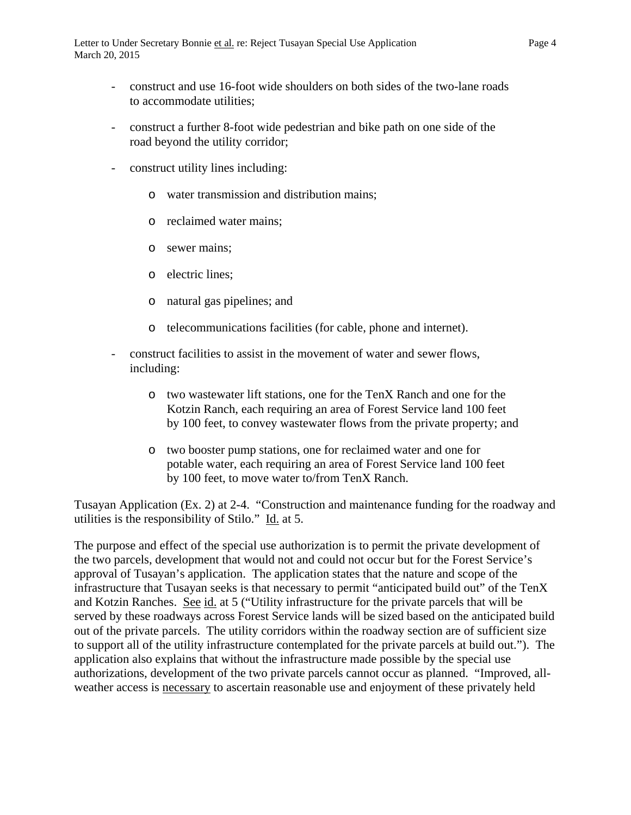- construct and use 16-foot wide shoulders on both sides of the two-lane roads to accommodate utilities;
- construct a further 8-foot wide pedestrian and bike path on one side of the road beyond the utility corridor;
- construct utility lines including:
	- o water transmission and distribution mains;
	- o reclaimed water mains;
	- o sewer mains;
	- o electric lines;
	- o natural gas pipelines; and
	- o telecommunications facilities (for cable, phone and internet).
- construct facilities to assist in the movement of water and sewer flows, including:
	- o two wastewater lift stations, one for the TenX Ranch and one for the Kotzin Ranch, each requiring an area of Forest Service land 100 feet by 100 feet, to convey wastewater flows from the private property; and
	- o two booster pump stations, one for reclaimed water and one for potable water, each requiring an area of Forest Service land 100 feet by 100 feet, to move water to/from TenX Ranch.

Tusayan Application (Ex. 2) at 2-4. "Construction and maintenance funding for the roadway and utilities is the responsibility of Stilo." Id. at 5.

The purpose and effect of the special use authorization is to permit the private development of the two parcels, development that would not and could not occur but for the Forest Service's approval of Tusayan's application. The application states that the nature and scope of the infrastructure that Tusayan seeks is that necessary to permit "anticipated build out" of the TenX and Kotzin Ranches. See id. at 5 ("Utility infrastructure for the private parcels that will be served by these roadways across Forest Service lands will be sized based on the anticipated build out of the private parcels. The utility corridors within the roadway section are of sufficient size to support all of the utility infrastructure contemplated for the private parcels at build out."). The application also explains that without the infrastructure made possible by the special use authorizations, development of the two private parcels cannot occur as planned. "Improved, allweather access is necessary to ascertain reasonable use and enjoyment of these privately held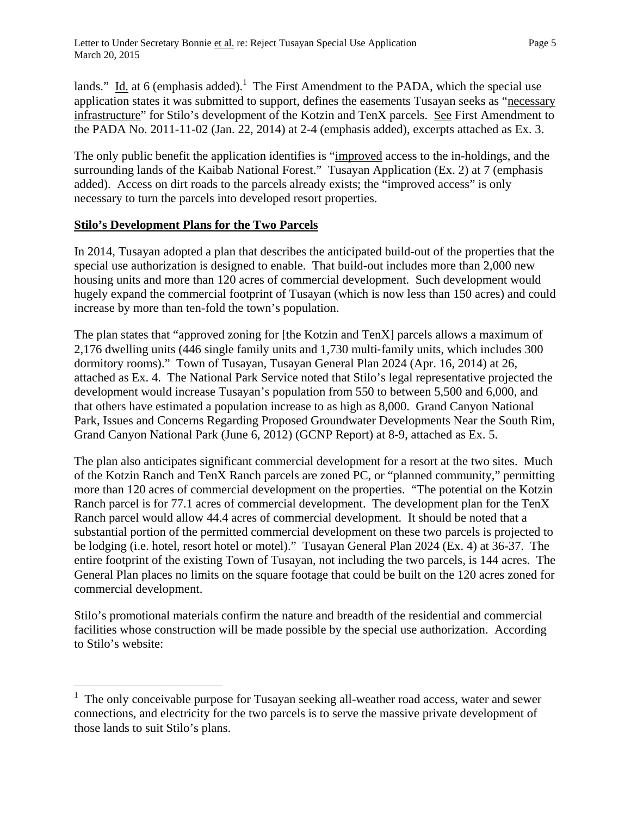lands." Id. at 6 (emphasis added).<sup>1</sup> The First Amendment to the PADA, which the special use application states it was submitted to support, defines the easements Tusayan seeks as "necessary infrastructure" for Stilo's development of the Kotzin and TenX parcels. See First Amendment to the PADA No. 2011-11-02 (Jan. 22, 2014) at 2-4 (emphasis added), excerpts attached as Ex. 3.

The only public benefit the application identifies is "improved access to the in-holdings, and the surrounding lands of the Kaibab National Forest." Tusayan Application (Ex. 2) at 7 (emphasis added). Access on dirt roads to the parcels already exists; the "improved access" is only necessary to turn the parcels into developed resort properties.

### **Stilo's Development Plans for the Two Parcels**

i<br>Li

In 2014, Tusayan adopted a plan that describes the anticipated build-out of the properties that the special use authorization is designed to enable. That build-out includes more than 2,000 new housing units and more than 120 acres of commercial development. Such development would hugely expand the commercial footprint of Tusayan (which is now less than 150 acres) and could increase by more than ten-fold the town's population.

The plan states that "approved zoning for [the Kotzin and TenX] parcels allows a maximum of 2,176 dwelling units (446 single family units and 1,730 multi‐family units, which includes 300 dormitory rooms)." Town of Tusayan, Tusayan General Plan 2024 (Apr. 16, 2014) at 26, attached as Ex. 4. The National Park Service noted that Stilo's legal representative projected the development would increase Tusayan's population from 550 to between 5,500 and 6,000, and that others have estimated a population increase to as high as 8,000. Grand Canyon National Park, Issues and Concerns Regarding Proposed Groundwater Developments Near the South Rim, Grand Canyon National Park (June 6, 2012) (GCNP Report) at 8-9, attached as Ex. 5.

The plan also anticipates significant commercial development for a resort at the two sites. Much of the Kotzin Ranch and TenX Ranch parcels are zoned PC, or "planned community," permitting more than 120 acres of commercial development on the properties. "The potential on the Kotzin Ranch parcel is for 77.1 acres of commercial development. The development plan for the TenX Ranch parcel would allow 44.4 acres of commercial development. It should be noted that a substantial portion of the permitted commercial development on these two parcels is projected to be lodging (i.e. hotel, resort hotel or motel)." Tusayan General Plan 2024 (Ex. 4) at 36-37. The entire footprint of the existing Town of Tusayan, not including the two parcels, is 144 acres. The General Plan places no limits on the square footage that could be built on the 120 acres zoned for commercial development.

Stilo's promotional materials confirm the nature and breadth of the residential and commercial facilities whose construction will be made possible by the special use authorization. According to Stilo's website:

<sup>1</sup> The only conceivable purpose for Tusayan seeking all-weather road access, water and sewer connections, and electricity for the two parcels is to serve the massive private development of those lands to suit Stilo's plans.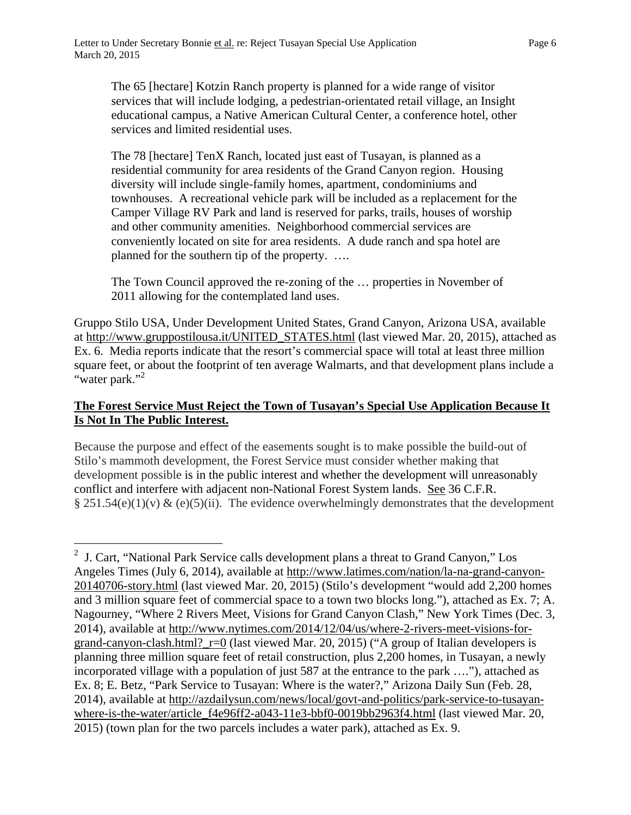The 65 [hectare] Kotzin Ranch property is planned for a wide range of visitor services that will include lodging, a pedestrian-orientated retail village, an Insight educational campus, a Native American Cultural Center, a conference hotel, other services and limited residential uses.

The 78 [hectare] TenX Ranch, located just east of Tusayan, is planned as a residential community for area residents of the Grand Canyon region. Housing diversity will include single-family homes, apartment, condominiums and townhouses. A recreational vehicle park will be included as a replacement for the Camper Village RV Park and land is reserved for parks, trails, houses of worship and other community amenities. Neighborhood commercial services are conveniently located on site for area residents. A dude ranch and spa hotel are planned for the southern tip of the property. ….

The Town Council approved the re-zoning of the … properties in November of 2011 allowing for the contemplated land uses.

Gruppo Stilo USA, Under Development United States, Grand Canyon, Arizona USA, available at http://www.gruppostilousa.it/UNITED\_STATES.html (last viewed Mar. 20, 2015), attached as Ex. 6. Media reports indicate that the resort's commercial space will total at least three million square feet, or about the footprint of ten average Walmarts, and that development plans include a "water park."<sup>2</sup>

# **The Forest Service Must Reject the Town of Tusayan's Special Use Application Because It Is Not In The Public Interest.**

Because the purpose and effect of the easements sought is to make possible the build-out of Stilo's mammoth development, the Forest Service must consider whether making that development possible is in the public interest and whether the development will unreasonably conflict and interfere with adjacent non-National Forest System lands. See 36 C.F.R. § 251.54(e)(1)(v) & (e)(5)(ii). The evidence overwhelmingly demonstrates that the development

i<br>Li 2 J. Cart, "National Park Service calls development plans a threat to Grand Canyon," Los Angeles Times (July 6, 2014), available at http://www.latimes.com/nation/la-na-grand-canyon-20140706-story.html (last viewed Mar. 20, 2015) (Stilo's development "would add 2,200 homes and 3 million square feet of commercial space to a town two blocks long."), attached as Ex. 7; A. Nagourney, "Where 2 Rivers Meet, Visions for Grand Canyon Clash," New York Times (Dec. 3, 2014), available at http://www.nytimes.com/2014/12/04/us/where-2-rivers-meet-visions-forgrand-canyon-clash.html?  $r=0$  (last viewed Mar. 20, 2015) ("A group of Italian developers is planning three million square feet of retail construction, plus 2,200 homes, in Tusayan, a newly incorporated village with a population of just 587 at the entrance to the park …."), attached as Ex. 8; E. Betz, "Park Service to Tusayan: Where is the water?," Arizona Daily Sun (Feb. 28, 2014), available at http://azdailysun.com/news/local/govt-and-politics/park-service-to-tusayanwhere-is-the-water/article\_f4e96ff2-a043-11e3-bbf0-0019bb2963f4.html (last viewed Mar. 20, 2015) (town plan for the two parcels includes a water park), attached as Ex. 9.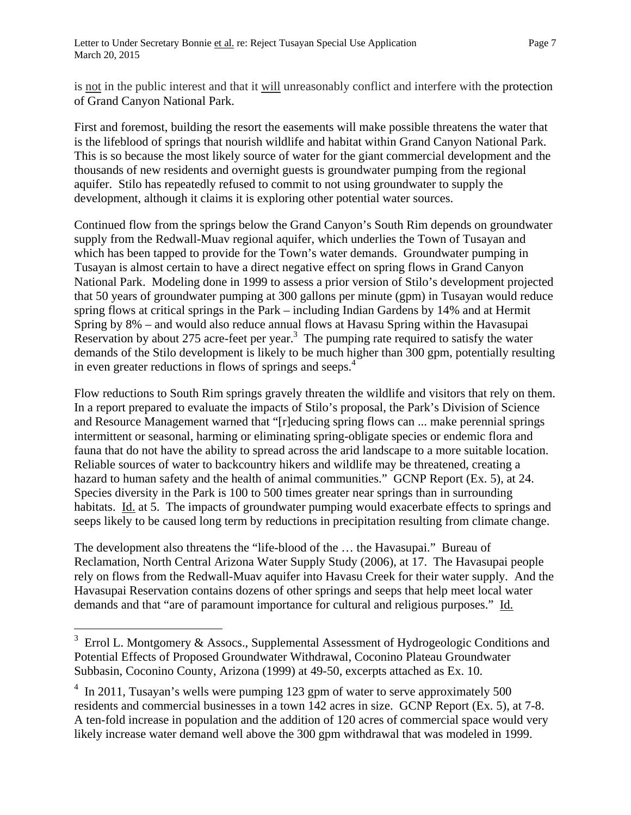is not in the public interest and that it will unreasonably conflict and interfere with the protection of Grand Canyon National Park.

First and foremost, building the resort the easements will make possible threatens the water that is the lifeblood of springs that nourish wildlife and habitat within Grand Canyon National Park. This is so because the most likely source of water for the giant commercial development and the thousands of new residents and overnight guests is groundwater pumping from the regional aquifer. Stilo has repeatedly refused to commit to not using groundwater to supply the development, although it claims it is exploring other potential water sources.

Continued flow from the springs below the Grand Canyon's South Rim depends on groundwater supply from the Redwall-Muav regional aquifer, which underlies the Town of Tusayan and which has been tapped to provide for the Town's water demands. Groundwater pumping in Tusayan is almost certain to have a direct negative effect on spring flows in Grand Canyon National Park. Modeling done in 1999 to assess a prior version of Stilo's development projected that 50 years of groundwater pumping at 300 gallons per minute (gpm) in Tusayan would reduce spring flows at critical springs in the Park – including Indian Gardens by 14% and at Hermit Spring by 8% – and would also reduce annual flows at Havasu Spring within the Havasupai Reservation by about 275 acre-feet per year.<sup>3</sup> The pumping rate required to satisfy the water demands of the Stilo development is likely to be much higher than 300 gpm, potentially resulting in even greater reductions in flows of springs and seeps.<sup>4</sup>

Flow reductions to South Rim springs gravely threaten the wildlife and visitors that rely on them. In a report prepared to evaluate the impacts of Stilo's proposal, the Park's Division of Science and Resource Management warned that "[r]educing spring flows can ... make perennial springs intermittent or seasonal, harming or eliminating spring-obligate species or endemic flora and fauna that do not have the ability to spread across the arid landscape to a more suitable location. Reliable sources of water to backcountry hikers and wildlife may be threatened, creating a hazard to human safety and the health of animal communities." GCNP Report (Ex. 5), at 24. Species diversity in the Park is 100 to 500 times greater near springs than in surrounding habitats. Id. at 5. The impacts of groundwater pumping would exacerbate effects to springs and seeps likely to be caused long term by reductions in precipitation resulting from climate change.

The development also threatens the "life-blood of the … the Havasupai." Bureau of Reclamation, North Central Arizona Water Supply Study (2006), at 17. The Havasupai people rely on flows from the Redwall-Muav aquifer into Havasu Creek for their water supply. And the Havasupai Reservation contains dozens of other springs and seeps that help meet local water demands and that "are of paramount importance for cultural and religious purposes." Id.

<sup>&</sup>lt;sup>3</sup> Errol L. Montgomery & Assocs., Supplemental Assessment of Hydrogeologic Conditions and Potential Effects of Proposed Groundwater Withdrawal, Coconino Plateau Groundwater Subbasin, Coconino County, Arizona (1999) at 49-50, excerpts attached as Ex. 10.

<sup>&</sup>lt;sup>4</sup> In 2011, Tusayan's wells were pumping 123 gpm of water to serve approximately 500 residents and commercial businesses in a town 142 acres in size. GCNP Report (Ex. 5), at 7-8. A ten-fold increase in population and the addition of 120 acres of commercial space would very likely increase water demand well above the 300 gpm withdrawal that was modeled in 1999.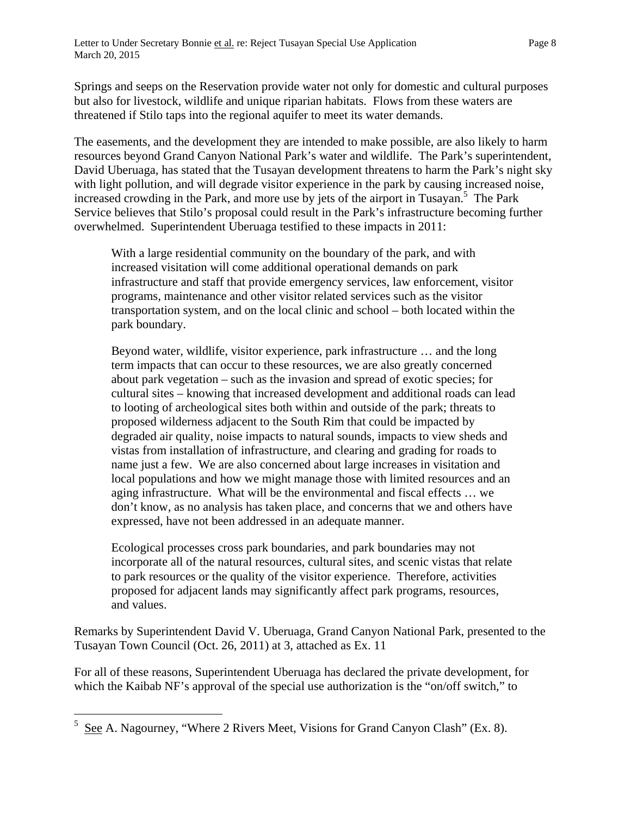Springs and seeps on the Reservation provide water not only for domestic and cultural purposes but also for livestock, wildlife and unique riparian habitats. Flows from these waters are threatened if Stilo taps into the regional aquifer to meet its water demands.

The easements, and the development they are intended to make possible, are also likely to harm resources beyond Grand Canyon National Park's water and wildlife. The Park's superintendent, David Uberuaga, has stated that the Tusayan development threatens to harm the Park's night sky with light pollution, and will degrade visitor experience in the park by causing increased noise, increased crowding in the Park, and more use by jets of the airport in Tusayan.<sup>5</sup> The Park Service believes that Stilo's proposal could result in the Park's infrastructure becoming further overwhelmed. Superintendent Uberuaga testified to these impacts in 2011:

With a large residential community on the boundary of the park, and with increased visitation will come additional operational demands on park infrastructure and staff that provide emergency services, law enforcement, visitor programs, maintenance and other visitor related services such as the visitor transportation system, and on the local clinic and school – both located within the park boundary.

Beyond water, wildlife, visitor experience, park infrastructure … and the long term impacts that can occur to these resources, we are also greatly concerned about park vegetation – such as the invasion and spread of exotic species; for cultural sites – knowing that increased development and additional roads can lead to looting of archeological sites both within and outside of the park; threats to proposed wilderness adjacent to the South Rim that could be impacted by degraded air quality, noise impacts to natural sounds, impacts to view sheds and vistas from installation of infrastructure, and clearing and grading for roads to name just a few. We are also concerned about large increases in visitation and local populations and how we might manage those with limited resources and an aging infrastructure. What will be the environmental and fiscal effects … we don't know, as no analysis has taken place, and concerns that we and others have expressed, have not been addressed in an adequate manner.

Ecological processes cross park boundaries, and park boundaries may not incorporate all of the natural resources, cultural sites, and scenic vistas that relate to park resources or the quality of the visitor experience. Therefore, activities proposed for adjacent lands may significantly affect park programs, resources, and values.

Remarks by Superintendent David V. Uberuaga, Grand Canyon National Park, presented to the Tusayan Town Council (Oct. 26, 2011) at 3, attached as Ex. 11

For all of these reasons, Superintendent Uberuaga has declared the private development, for which the Kaibab NF's approval of the special use authorization is the "on/off switch," to

<sup>&</sup>lt;sup>5</sup> See A. Nagourney, "Where 2 Rivers Meet, Visions for Grand Canyon Clash" (Ex. 8).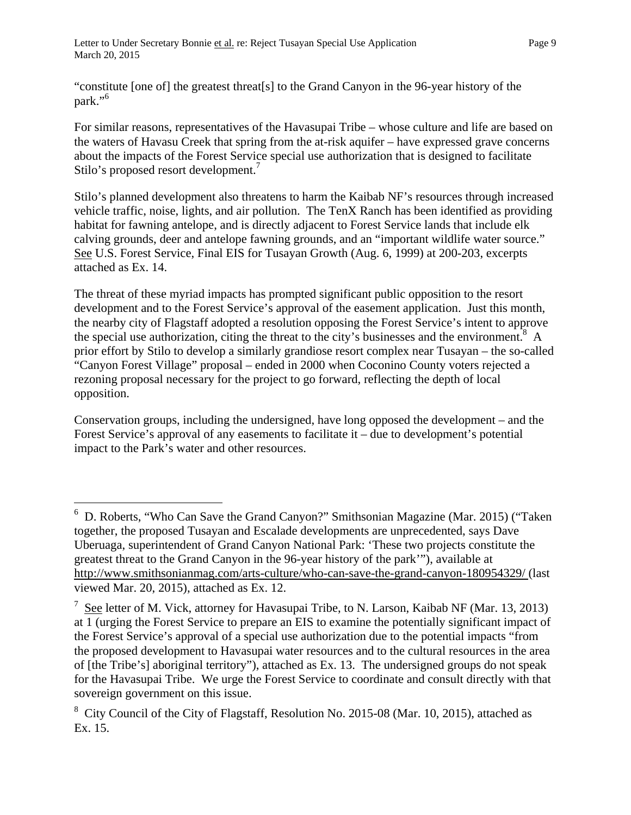"constitute [one of] the greatest threat[s] to the Grand Canyon in the 96-year history of the park."6

For similar reasons, representatives of the Havasupai Tribe – whose culture and life are based on the waters of Havasu Creek that spring from the at-risk aquifer – have expressed grave concerns about the impacts of the Forest Service special use authorization that is designed to facilitate Stilo's proposed resort development.<sup>7</sup>

Stilo's planned development also threatens to harm the Kaibab NF's resources through increased vehicle traffic, noise, lights, and air pollution. The TenX Ranch has been identified as providing habitat for fawning antelope, and is directly adjacent to Forest Service lands that include elk calving grounds, deer and antelope fawning grounds, and an "important wildlife water source." See U.S. Forest Service, Final EIS for Tusayan Growth (Aug. 6, 1999) at 200-203, excerpts attached as Ex. 14.

The threat of these myriad impacts has prompted significant public opposition to the resort development and to the Forest Service's approval of the easement application. Just this month, the nearby city of Flagstaff adopted a resolution opposing the Forest Service's intent to approve the special use authorization, citing the threat to the city's businesses and the environment.<sup>8</sup> A prior effort by Stilo to develop a similarly grandiose resort complex near Tusayan – the so-called "Canyon Forest Village" proposal – ended in 2000 when Coconino County voters rejected a rezoning proposal necessary for the project to go forward, reflecting the depth of local opposition.

Conservation groups, including the undersigned, have long opposed the development – and the Forest Service's approval of any easements to facilitate it – due to development's potential impact to the Park's water and other resources.

 6 D. Roberts, "Who Can Save the Grand Canyon?" Smithsonian Magazine (Mar. 2015) ("Taken together, the proposed Tusayan and Escalade developments are unprecedented, says Dave Uberuaga, superintendent of Grand Canyon National Park: 'These two projects constitute the greatest threat to the Grand Canyon in the 96-year history of the park'"), available at http://www.smithsonianmag.com/arts-culture/who-can-save-the-grand-canyon-180954329/ (last viewed Mar. 20, 2015), attached as Ex. 12.

 $\frac{7}{1}$  See letter of M. Vick, attorney for Havasupai Tribe, to N. Larson, Kaibab NF (Mar. 13, 2013) at 1 (urging the Forest Service to prepare an EIS to examine the potentially significant impact of the Forest Service's approval of a special use authorization due to the potential impacts "from the proposed development to Havasupai water resources and to the cultural resources in the area of [the Tribe's] aboriginal territory"), attached as Ex. 13. The undersigned groups do not speak for the Havasupai Tribe. We urge the Forest Service to coordinate and consult directly with that sovereign government on this issue.

 $8$  City Council of the City of Flagstaff, Resolution No. 2015-08 (Mar. 10, 2015), attached as Ex. 15.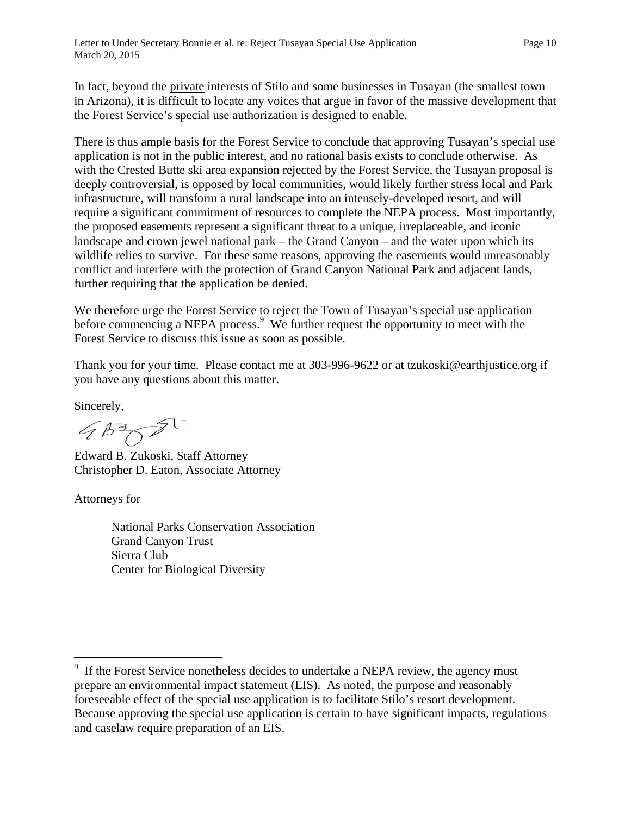In fact, beyond the private interests of Stilo and some businesses in Tusayan (the smallest town in Arizona), it is difficult to locate any voices that argue in favor of the massive development that the Forest Service's special use authorization is designed to enable.

There is thus ample basis for the Forest Service to conclude that approving Tusayan's special use application is not in the public interest, and no rational basis exists to conclude otherwise. As with the Crested Butte ski area expansion rejected by the Forest Service, the Tusayan proposal is deeply controversial, is opposed by local communities, would likely further stress local and Park infrastructure, will transform a rural landscape into an intensely-developed resort, and will require a significant commitment of resources to complete the NEPA process. Most importantly, the proposed easements represent a significant threat to a unique, irreplaceable, and iconic landscape and crown jewel national park – the Grand Canyon – and the water upon which its wildlife relies to survive. For these same reasons, approving the easements would unreasonably conflict and interfere with the protection of Grand Canyon National Park and adjacent lands, further requiring that the application be denied.

We therefore urge the Forest Service to reject the Town of Tusayan's special use application before commencing a NEPA process.<sup>9</sup> We further request the opportunity to meet with the Forest Service to discuss this issue as soon as possible.

Thank you for your time. Please contact me at 303-996-9622 or at tzukoski@earthjustice.org if you have any questions about this matter.

Sincerely,

 $4372$ 

Edward B. Zukoski, Staff Attorney Christopher D. Eaton, Associate Attorney

Attorneys for

i

National Parks Conservation Association Grand Canyon Trust Sierra Club Center for Biological Diversity

<sup>9</sup> If the Forest Service nonetheless decides to undertake a NEPA review, the agency must prepare an environmental impact statement (EIS). As noted, the purpose and reasonably foreseeable effect of the special use application is to facilitate Stilo's resort development. Because approving the special use application is certain to have significant impacts, regulations and caselaw require preparation of an EIS.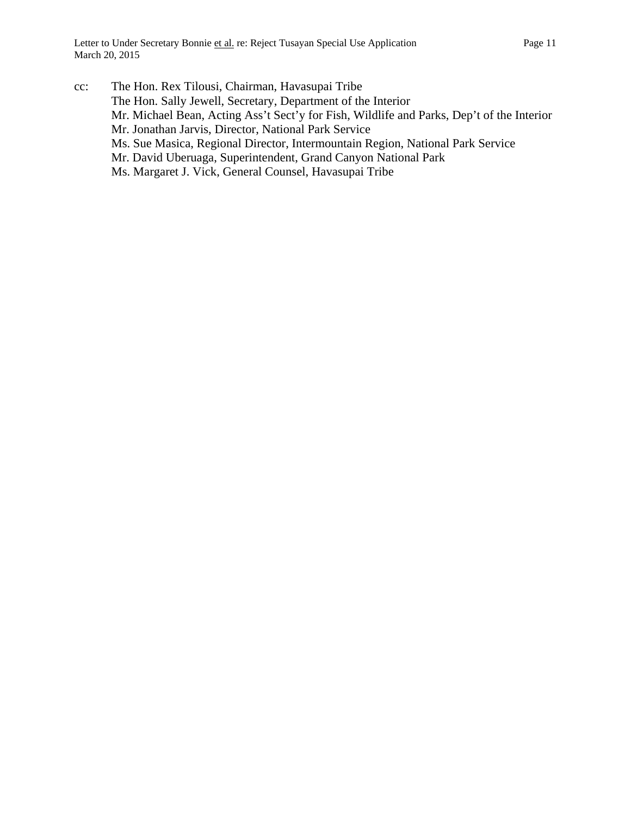cc: The Hon. Rex Tilousi, Chairman, Havasupai Tribe The Hon. Sally Jewell, Secretary, Department of the Interior Mr. Michael Bean, Acting Ass't Sect'y for Fish, Wildlife and Parks, Dep't of the Interior Mr. Jonathan Jarvis, Director, National Park Service Ms. Sue Masica, Regional Director, Intermountain Region, National Park Service Mr. David Uberuaga, Superintendent, Grand Canyon National Park Ms. Margaret J. Vick, General Counsel, Havasupai Tribe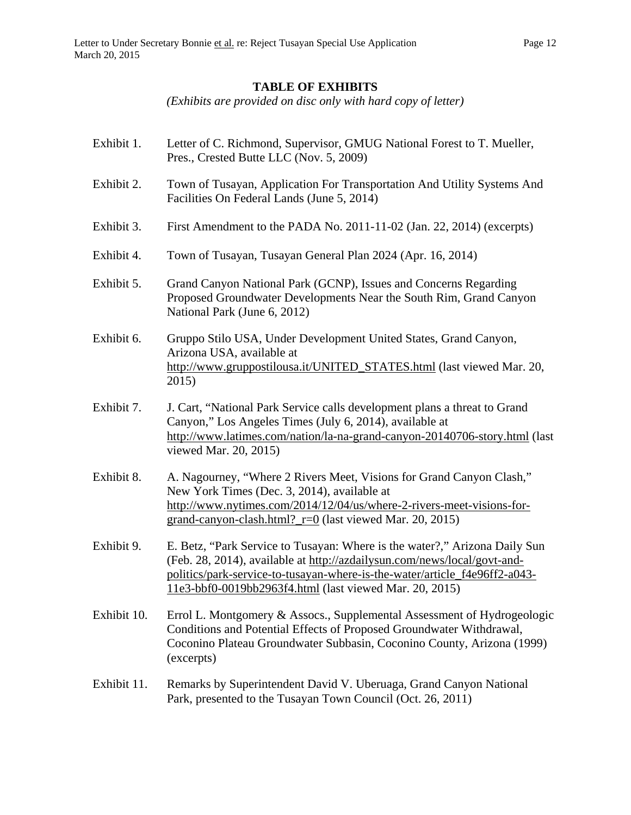#### **TABLE OF EXHIBITS**

*(Exhibits are provided on disc only with hard copy of letter)* 

Exhibit 1. Letter of C. Richmond, Supervisor, GMUG National Forest to T. Mueller, Pres., Crested Butte LLC (Nov. 5, 2009) Exhibit 2. Town of Tusayan, Application For Transportation And Utility Systems And Facilities On Federal Lands (June 5, 2014) Exhibit 3. First Amendment to the PADA No. 2011-11-02 (Jan. 22, 2014) (excerpts) Exhibit 4. Town of Tusayan, Tusayan General Plan 2024 (Apr. 16, 2014) Exhibit 5. Grand Canyon National Park (GCNP), Issues and Concerns Regarding Proposed Groundwater Developments Near the South Rim, Grand Canyon National Park (June 6, 2012) Exhibit 6. Gruppo Stilo USA, Under Development United States, Grand Canyon, Arizona USA, available at http://www.gruppostilousa.it/UNITED\_STATES.html (last viewed Mar. 20, 2015) Exhibit 7. J. Cart, "National Park Service calls development plans a threat to Grand Canyon," Los Angeles Times (July 6, 2014), available at http://www.latimes.com/nation/la-na-grand-canyon-20140706-story.html (last viewed Mar. 20, 2015) Exhibit 8. A. Nagourney, "Where 2 Rivers Meet, Visions for Grand Canyon Clash," New York Times (Dec. 3, 2014), available at http://www.nytimes.com/2014/12/04/us/where-2-rivers-meet-visions-forgrand-canyon-clash.html?\_r=0 (last viewed Mar. 20, 2015) Exhibit 9. E. Betz, "Park Service to Tusayan: Where is the water?," Arizona Daily Sun (Feb. 28, 2014), available at http://azdailysun.com/news/local/govt-andpolitics/park-service-to-tusayan-where-is-the-water/article\_f4e96ff2-a043- 11e3-bbf0-0019bb2963f4.html (last viewed Mar. 20, 2015) Exhibit 10. Errol L. Montgomery & Assocs., Supplemental Assessment of Hydrogeologic Conditions and Potential Effects of Proposed Groundwater Withdrawal, Coconino Plateau Groundwater Subbasin, Coconino County, Arizona (1999) (excerpts) Exhibit 11. Remarks by Superintendent David V. Uberuaga, Grand Canyon National Park, presented to the Tusayan Town Council (Oct. 26, 2011)